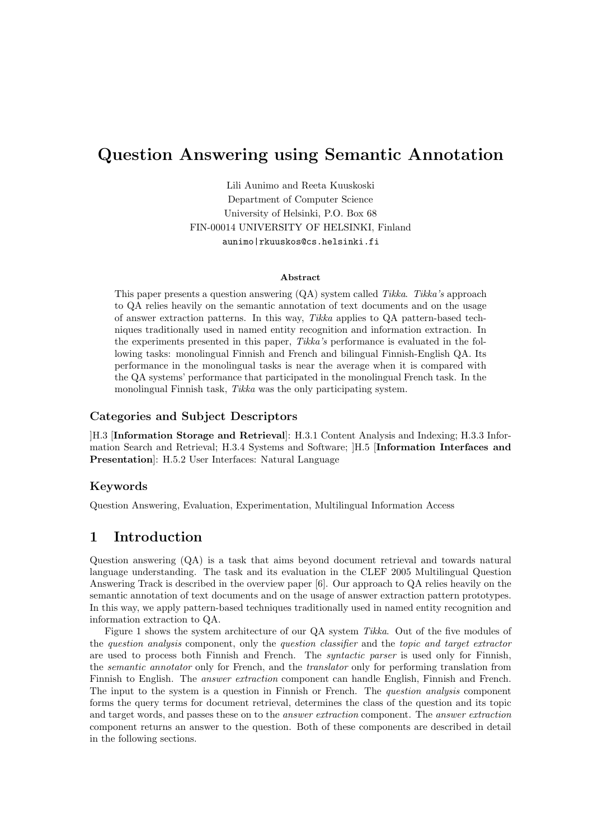# Question Answering using Semantic Annotation

Lili Aunimo and Reeta Kuuskoski Department of Computer Science University of Helsinki, P.O. Box 68 FIN-00014 UNIVERSITY OF HELSINKI, Finland aunimo|rkuuskos@cs.helsinki.fi

#### Abstract

This paper presents a question answering (QA) system called Tikka. Tikka's approach to QA relies heavily on the semantic annotation of text documents and on the usage of answer extraction patterns. In this way, Tikka applies to QA pattern-based techniques traditionally used in named entity recognition and information extraction. In the experiments presented in this paper, Tikka's performance is evaluated in the following tasks: monolingual Finnish and French and bilingual Finnish-English QA. Its performance in the monolingual tasks is near the average when it is compared with the QA systems' performance that participated in the monolingual French task. In the monolingual Finnish task, Tikka was the only participating system.

#### Categories and Subject Descriptors

]H.3 [Information Storage and Retrieval]: H.3.1 Content Analysis and Indexing; H.3.3 Information Search and Retrieval; H.3.4 Systems and Software; ]H.5 [Information Interfaces and Presentation]: H.5.2 User Interfaces: Natural Language

#### Keywords

Question Answering, Evaluation, Experimentation, Multilingual Information Access

### 1 Introduction

Question answering (QA) is a task that aims beyond document retrieval and towards natural language understanding. The task and its evaluation in the CLEF 2005 Multilingual Question Answering Track is described in the overview paper [6]. Our approach to QA relies heavily on the semantic annotation of text documents and on the usage of answer extraction pattern prototypes. In this way, we apply pattern-based techniques traditionally used in named entity recognition and information extraction to QA.

Figure 1 shows the system architecture of our QA system Tikka. Out of the five modules of the question analysis component, only the question classifier and the topic and target extractor are used to process both Finnish and French. The syntactic parser is used only for Finnish, the semantic annotator only for French, and the translator only for performing translation from Finnish to English. The answer extraction component can handle English, Finnish and French. The input to the system is a question in Finnish or French. The question analysis component forms the query terms for document retrieval, determines the class of the question and its topic and target words, and passes these on to the answer extraction component. The answer extraction component returns an answer to the question. Both of these components are described in detail in the following sections.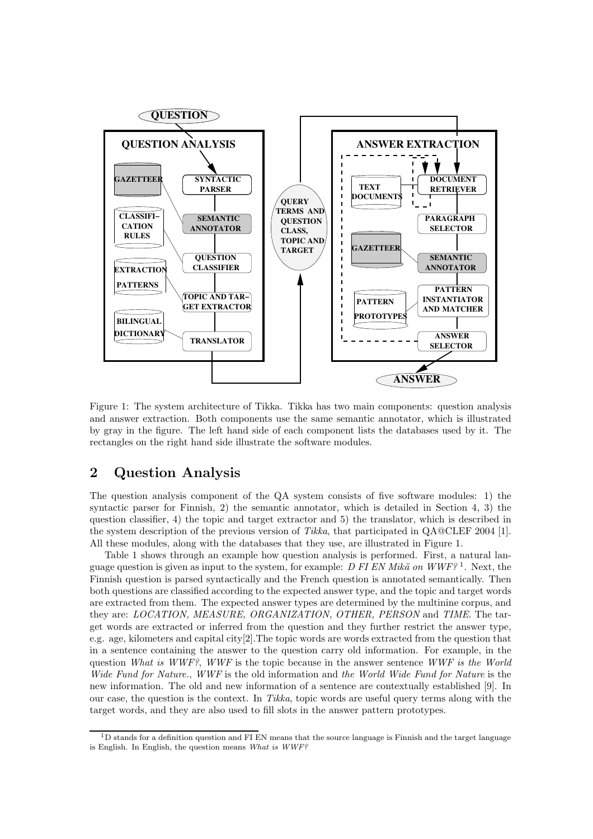

Figure 1: The system architecture of Tikka. Tikka has two main components: question analysis and answer extraction. Both components use the same semantic annotator, which is illustrated by gray in the figure. The left hand side of each component lists the databases used by it. The rectangles on the right hand side illustrate the software modules.

## 2 Question Analysis

The question analysis component of the QA system consists of five software modules: 1) the syntactic parser for Finnish, 2) the semantic annotator, which is detailed in Section 4, 3) the question classifier, 4) the topic and target extractor and 5) the translator, which is described in the system description of the previous version of Tikka, that participated in QA@CLEF 2004 [1]. All these modules, along with the databases that they use, are illustrated in Figure 1.

Table 1 shows through an example how question analysis is performed. First, a natural language question is given as input to the system, for example: D FI EN Mikä on WWF?<sup>1</sup>. Next, the Finnish question is parsed syntactically and the French question is annotated semantically. Then both questions are classified according to the expected answer type, and the topic and target words are extracted from them. The expected answer types are determined by the multinine corpus, and they are: LOCATION, MEASURE, ORGANIZATION, OTHER, PERSON and TIME. The target words are extracted or inferred from the question and they further restrict the answer type, e.g. age, kilometers and capital city[2].The topic words are words extracted from the question that in a sentence containing the answer to the question carry old information. For example, in the question What is WWF?, WWF is the topic because in the answer sentence WWF is the World Wide Fund for Nature., WWF is the old information and the World Wide Fund for Nature is the new information. The old and new information of a sentence are contextually established [9]. In our case, the question is the context. In Tikka, topic words are useful query terms along with the target words, and they are also used to fill slots in the answer pattern prototypes.

 $1D$  stands for a definition question and FI EN means that the source language is Finnish and the target language is English. In English, the question means What is WWF?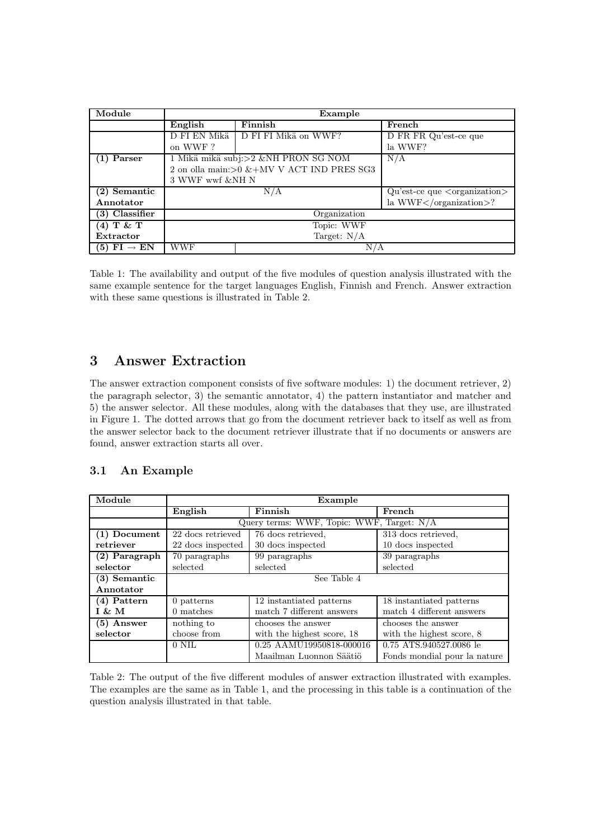| Module                    | Example         |                                               |                                             |  |
|---------------------------|-----------------|-----------------------------------------------|---------------------------------------------|--|
|                           | English         | Finnish                                       | French                                      |  |
|                           | D FI EN Mikä    | D FI FI Mikä on WWF?                          | D FR FR Qu'est-ce que                       |  |
|                           | on WWF?         |                                               | la WWF?                                     |  |
| $(1)$ Parser              |                 | 1 Mikä mikä subj:>2 &NH PRON SG NOM           | N/A                                         |  |
|                           |                 | 2 on olla main:> $0 \&+MV V$ ACT IND PRES SG3 |                                             |  |
|                           | 3 WWF wwf &NH N |                                               |                                             |  |
| $(2)$ Semantic            | N/A             |                                               | $Qu'est-ce que \langle organization\rangle$ |  |
| Annotator                 |                 |                                               | la WWF?                                     |  |
| (3) Classifier            | Organization    |                                               |                                             |  |
| $(4)$ T & T               | Topic: WWF      |                                               |                                             |  |
| Extractor                 | Target: $N/A$   |                                               |                                             |  |
| $(5)$ FI $\rightarrow$ EN | WWF             | N/A                                           |                                             |  |

Table 1: The availability and output of the five modules of question analysis illustrated with the same example sentence for the target languages English, Finnish and French. Answer extraction with these same questions is illustrated in Table 2.

# 3 Answer Extraction

The answer extraction component consists of five software modules: 1) the document retriever, 2) the paragraph selector, 3) the semantic annotator, 4) the pattern instantiator and matcher and 5) the answer selector. All these modules, along with the databases that they use, are illustrated in Figure 1. The dotted arrows that go from the document retriever back to itself as well as from the answer selector back to the document retriever illustrate that if no documents or answers are found, answer extraction starts all over.

### 3.1 An Example

| Module         | Example                                                        |                            |                              |  |  |
|----------------|----------------------------------------------------------------|----------------------------|------------------------------|--|--|
|                | English                                                        | Finnish                    | French                       |  |  |
|                | Query terms: WWF, Topic: WWF, Target: N/A                      |                            |                              |  |  |
| (1) Document   | 22 docs retrieved                                              | 76 docs retrieved.         | 313 docs retrieved.          |  |  |
| retriever      | 22 docs inspected                                              | 30 docs inspected          | 10 docs inspected            |  |  |
| (2) Paragraph  | 70 paragraphs                                                  | 99 paragraphs              | 39 paragraphs                |  |  |
| selector       | selected                                                       | selected                   | selected                     |  |  |
| $(3)$ Semantic | See Table 4                                                    |                            |                              |  |  |
| Annotator      |                                                                |                            |                              |  |  |
| (4) Pattern    | 0 patterns                                                     | 12 instantiated patterns   | 18 instantiated patterns     |  |  |
| I & M          | 0 matches                                                      | match 7 different answers  | match 4 different answers    |  |  |
| (5) Answer     | nothing to                                                     | chooses the answer         | chooses the answer           |  |  |
| selector       | choose from                                                    | with the highest score, 18 | with the highest score, 8    |  |  |
|                | 0.25 AAMU19950818-000016<br>0.75 ATS.940527.0086 le<br>$0$ NIL |                            |                              |  |  |
|                |                                                                | Maailman Luonnon Säätiö    | Fonds mondial pour la nature |  |  |

Table 2: The output of the five different modules of answer extraction illustrated with examples. The examples are the same as in Table 1, and the processing in this table is a continuation of the question analysis illustrated in that table.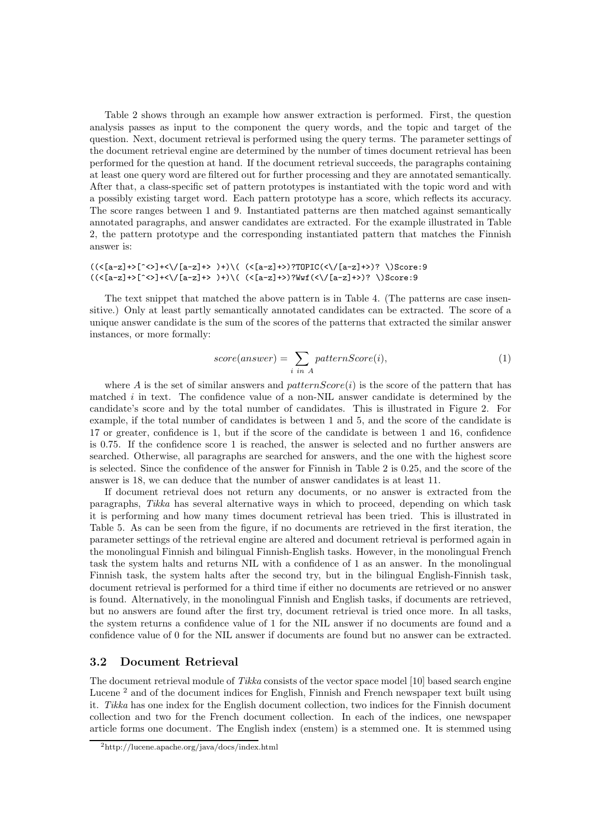Table 2 shows through an example how answer extraction is performed. First, the question analysis passes as input to the component the query words, and the topic and target of the question. Next, document retrieval is performed using the query terms. The parameter settings of the document retrieval engine are determined by the number of times document retrieval has been performed for the question at hand. If the document retrieval succeeds, the paragraphs containing at least one query word are filtered out for further processing and they are annotated semantically. After that, a class-specific set of pattern prototypes is instantiated with the topic word and with a possibly existing target word. Each pattern prototype has a score, which reflects its accuracy. The score ranges between 1 and 9. Instantiated patterns are then matched against semantically annotated paragraphs, and answer candidates are extracted. For the example illustrated in Table 2, the pattern prototype and the corresponding instantiated pattern that matches the Finnish answer is:

#### $((\langle [a-z] + \rangle [^{\sim} \langle >] + \langle \rangle / [a-z] + \rangle ) +) \backslash ( (\langle [a-z] + \rangle ) ? T0 PIC(\langle \rangle / [a-z] + \rangle ) ? \setminus) Score: 9$  $((\langle [a-z]+\rangle [^{\sim}c)\!+\!\prec\!/\!_{a-z}]+\rangle )\!+\rangle\langle (^{\sim}([a-z]+\rangle )?$   $W\!vf(\langle\!/\!_{a-z}]+\rangle )?$   $\setminus)$ Score:9

The text snippet that matched the above pattern is in Table 4. (The patterns are case insensitive.) Only at least partly semantically annotated candidates can be extracted. The score of a unique answer candidate is the sum of the scores of the patterns that extracted the similar answer instances, or more formally:

$$
score(answer) = \sum_{i \ in \ A} patternScore(i), \tag{1}
$$

where A is the set of similar answers and  $patternScore(i)$  is the score of the pattern that has matched  $i$  in text. The confidence value of a non-NIL answer candidate is determined by the candidate's score and by the total number of candidates. This is illustrated in Figure 2. For example, if the total number of candidates is between 1 and 5, and the score of the candidate is 17 or greater, confidence is 1, but if the score of the candidate is between 1 and 16, confidence is 0.75. If the confidence score 1 is reached, the answer is selected and no further answers are searched. Otherwise, all paragraphs are searched for answers, and the one with the highest score is selected. Since the confidence of the answer for Finnish in Table 2 is 0.25, and the score of the answer is 18, we can deduce that the number of answer candidates is at least 11.

If document retrieval does not return any documents, or no answer is extracted from the paragraphs, Tikka has several alternative ways in which to proceed, depending on which task it is performing and how many times document retrieval has been tried. This is illustrated in Table 5. As can be seen from the figure, if no documents are retrieved in the first iteration, the parameter settings of the retrieval engine are altered and document retrieval is performed again in the monolingual Finnish and bilingual Finnish-English tasks. However, in the monolingual French task the system halts and returns NIL with a confidence of 1 as an answer. In the monolingual Finnish task, the system halts after the second try, but in the bilingual English-Finnish task, document retrieval is performed for a third time if either no documents are retrieved or no answer is found. Alternatively, in the monolingual Finnish and English tasks, if documents are retrieved, but no answers are found after the first try, document retrieval is tried once more. In all tasks, the system returns a confidence value of 1 for the NIL answer if no documents are found and a confidence value of 0 for the NIL answer if documents are found but no answer can be extracted.

#### 3.2 Document Retrieval

The document retrieval module of Tikka consists of the vector space model [10] based search engine Lucene<sup>2</sup> and of the document indices for English, Finnish and French newspaper text built using it. Tikka has one index for the English document collection, two indices for the Finnish document collection and two for the French document collection. In each of the indices, one newspaper article forms one document. The English index (enstem) is a stemmed one. It is stemmed using

<sup>2</sup>http://lucene.apache.org/java/docs/index.html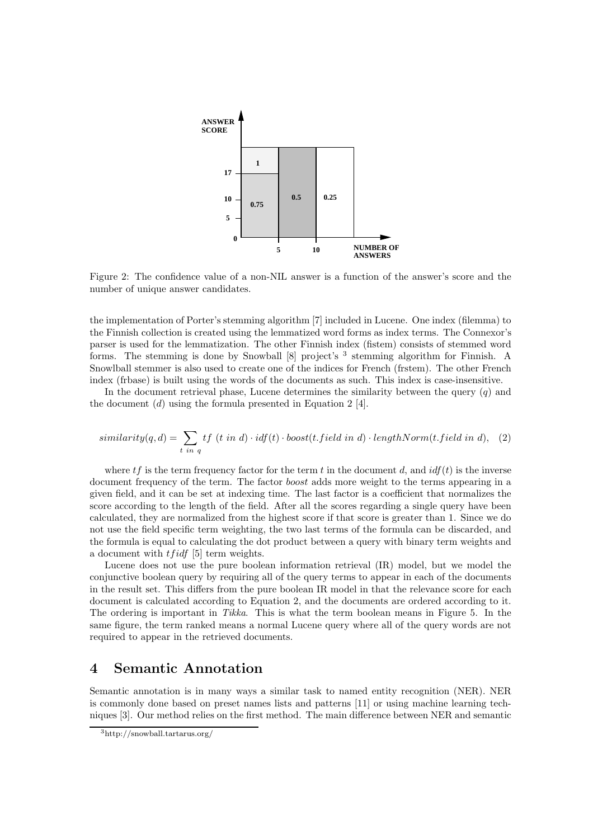

Figure 2: The confidence value of a non-NIL answer is a function of the answer's score and the number of unique answer candidates.

the implementation of Porter's stemming algorithm [7] included in Lucene. One index (filemma) to the Finnish collection is created using the lemmatized word forms as index terms. The Connexor's parser is used for the lemmatization. The other Finnish index (fistem) consists of stemmed word forms. The stemming is done by Snowball [8] project's <sup>3</sup> stemming algorithm for Finnish. A Snowlball stemmer is also used to create one of the indices for French (frstem). The other French index (frbase) is built using the words of the documents as such. This index is case-insensitive.

In the document retrieval phase, Lucene determines the similarity between the query  $(q)$  and the document  $(d)$  using the formula presented in Equation 2 [4].

$$
similarity(q, d) = \sum_{t \ in \ q} tf(t \ in \ d) \cdot idf(t) \cdot boost(t.field \ in \ d) \cdot lengthNorm(t.field \ in \ d), \tag{2}
$$

where  $tf$  is the term frequency factor for the term t in the document d, and  $\mathrm{id}f(t)$  is the inverse document frequency of the term. The factor *boost* adds more weight to the terms appearing in a given field, and it can be set at indexing time. The last factor is a coefficient that normalizes the score according to the length of the field. After all the scores regarding a single query have been calculated, they are normalized from the highest score if that score is greater than 1. Since we do not use the field specific term weighting, the two last terms of the formula can be discarded, and the formula is equal to calculating the dot product between a query with binary term weights and a document with  $tfidf$  [5] term weights.

Lucene does not use the pure boolean information retrieval (IR) model, but we model the conjunctive boolean query by requiring all of the query terms to appear in each of the documents in the result set. This differs from the pure boolean IR model in that the relevance score for each document is calculated according to Equation 2, and the documents are ordered according to it. The ordering is important in Tikka. This is what the term boolean means in Figure 5. In the same figure, the term ranked means a normal Lucene query where all of the query words are not required to appear in the retrieved documents.

### 4 Semantic Annotation

Semantic annotation is in many ways a similar task to named entity recognition (NER). NER is commonly done based on preset names lists and patterns [11] or using machine learning techniques [3]. Our method relies on the first method. The main difference between NER and semantic

<sup>3</sup>http://snowball.tartarus.org/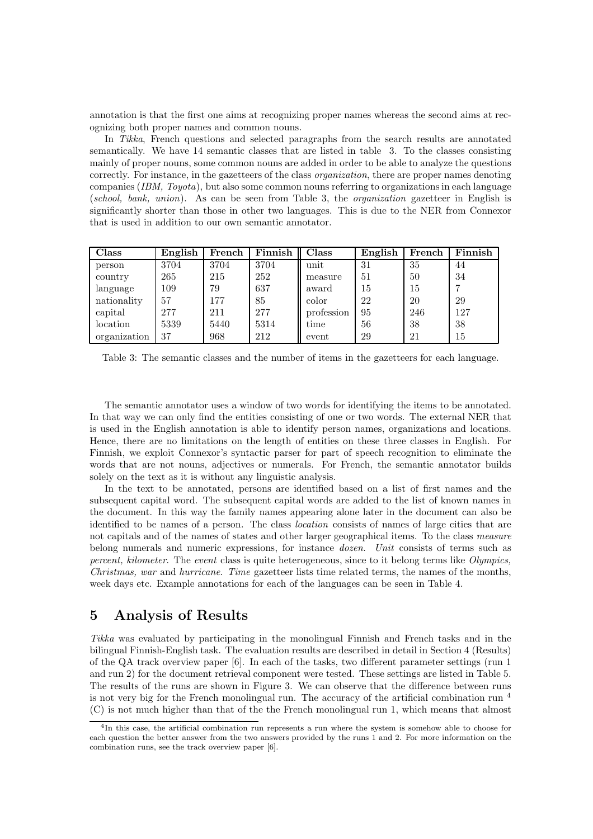annotation is that the first one aims at recognizing proper names whereas the second aims at recognizing both proper names and common nouns.

In Tikka, French questions and selected paragraphs from the search results are annotated semantically. We have 14 semantic classes that are listed in table 3. To the classes consisting mainly of proper nouns, some common nouns are added in order to be able to analyze the questions correctly. For instance, in the gazetteers of the class organization, there are proper names denoting companies  $(IBM, Toyota)$ , but also some common nouns referring to organizations in each language (school, bank, union). As can be seen from Table 3, the organization gazetteer in English is significantly shorter than those in other two languages. This is due to the NER from Connexor that is used in addition to our own semantic annotator.

| Class        | English | French | Finnish | Class      | English | French | Finnish |
|--------------|---------|--------|---------|------------|---------|--------|---------|
| person       | 3704    | 3704   | 3704    | unit       | 31      | 35     | 44      |
| country      | 265     | 215    | 252     | measure    | 51      | 50     | 34      |
| language     | 109     | 79     | 637     | award      | 15      | 15     |         |
| nationality  | 57      | 177    | 85      | color      | 22      | 20     | 29      |
| capital      | 277     | 211    | 277     | profession | 95      | 246    | 127     |
| location     | 5339    | 5440   | 5314    | time       | 56      | 38     | 38      |
| organization | 37      | 968    | 212     | event      | 29      | 21     | 15      |

Table 3: The semantic classes and the number of items in the gazetteers for each language.

The semantic annotator uses a window of two words for identifying the items to be annotated. In that way we can only find the entities consisting of one or two words. The external NER that is used in the English annotation is able to identify person names, organizations and locations. Hence, there are no limitations on the length of entities on these three classes in English. For Finnish, we exploit Connexor's syntactic parser for part of speech recognition to eliminate the words that are not nouns, adjectives or numerals. For French, the semantic annotator builds solely on the text as it is without any linguistic analysis.

In the text to be annotated, persons are identified based on a list of first names and the subsequent capital word. The subsequent capital words are added to the list of known names in the document. In this way the family names appearing alone later in the document can also be identified to be names of a person. The class location consists of names of large cities that are not capitals and of the names of states and other larger geographical items. To the class measure belong numerals and numeric expressions, for instance dozen. Unit consists of terms such as percent, kilometer. The event class is quite heterogeneous, since to it belong terms like Olympics, Christmas, war and hurricane. Time gazetteer lists time related terms, the names of the months, week days etc. Example annotations for each of the languages can be seen in Table 4.

## 5 Analysis of Results

Tikka was evaluated by participating in the monolingual Finnish and French tasks and in the bilingual Finnish-English task. The evaluation results are described in detail in Section 4 (Results) of the QA track overview paper [6]. In each of the tasks, two different parameter settings (run 1 and run 2) for the document retrieval component were tested. These settings are listed in Table 5. The results of the runs are shown in Figure 3. We can observe that the difference between runs is not very big for the French monolingual run. The accuracy of the artificial combination run <sup>4</sup> (C) is not much higher than that of the the French monolingual run 1, which means that almost

<sup>&</sup>lt;sup>4</sup>In this case, the artificial combination run represents a run where the system is somehow able to choose for each question the better answer from the two answers provided by the runs 1 and 2. For more information on the combination runs, see the track overview paper [6].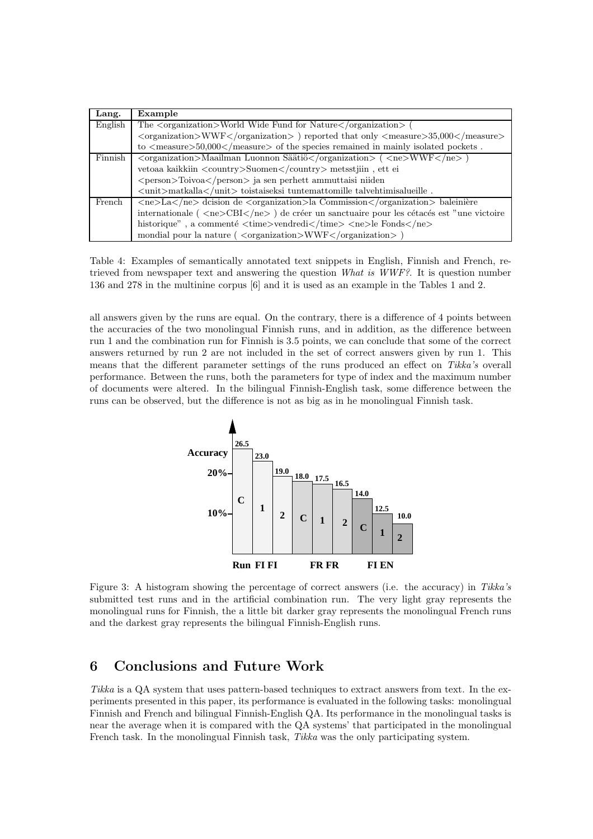| Lang.   | Example                                                                                                                                                 |
|---------|---------------------------------------------------------------------------------------------------------------------------------------------------------|
| English | The <organization>World Wide Fund for Nature</organization> (                                                                                           |
|         | <organization>WWF</organization> ) reported that only <measure>35,000</measure>                                                                         |
|         | to $\langle$ measure $> 50,000$ $\langle$ /measure $>$ of the species remained in mainly isolated pockets.                                              |
| Finnish | $\langle$ organization $>$ Maailman Luonnon Säätiö $\langle$ /organization $>$ ( $\langle$ ne $>$ WWF $\langle$ /ne $>$ )                               |
|         | vetoaa kaikkiin <country>Suomen</country> metsstjiin, ett ei                                                                                            |
|         | <person>Toivoa</person> ja sen perhett ammuttaisi niiden                                                                                                |
|         | $\langle \text{unit} \rangle$ matkalla $\langle \text{unit} \rangle$ toistaiseksi tuntemattomille talvehtimisalueille.                                  |
| French  | $\langle ne \rangle$ La $\langle ne \rangle$ designation de $\langle$ organization $\rangle$ la Commission $\langle$ /organization $\rangle$ baleinière |
|         | internationale ( $\langle$ ne>CBI $\langle$ /ne>) de créer un sanctuaire pour les cétacés est "une victoire                                             |
|         | historique", a commenté $\langle time \rangle$ vendredi $\langle$ /time $\rangle$ $\langle$ ne $\rangle$ le Fonds $\langle$ /ne $\rangle$               |
|         | mondial pour la nature ( $\langle$ organization $\rangle$ WWF $\langle$ /organization $\rangle$ )                                                       |

Table 4: Examples of semantically annotated text snippets in English, Finnish and French, retrieved from newspaper text and answering the question What is WWF?. It is question number 136 and 278 in the multinine corpus [6] and it is used as an example in the Tables 1 and 2.

all answers given by the runs are equal. On the contrary, there is a difference of 4 points between the accuracies of the two monolingual Finnish runs, and in addition, as the difference between run 1 and the combination run for Finnish is 3.5 points, we can conclude that some of the correct answers returned by run 2 are not included in the set of correct answers given by run 1. This means that the different parameter settings of the runs produced an effect on Tikka's overall performance. Between the runs, both the parameters for type of index and the maximum number of documents were altered. In the bilingual Finnish-English task, some difference between the runs can be observed, but the difference is not as big as in he monolingual Finnish task.



Figure 3: A histogram showing the percentage of correct answers (i.e. the accuracy) in Tikka's submitted test runs and in the artificial combination run. The very light gray represents the monolingual runs for Finnish, the a little bit darker gray represents the monolingual French runs and the darkest gray represents the bilingual Finnish-English runs.

# 6 Conclusions and Future Work

Tikka is a QA system that uses pattern-based techniques to extract answers from text. In the experiments presented in this paper, its performance is evaluated in the following tasks: monolingual Finnish and French and bilingual Finnish-English QA. Its performance in the monolingual tasks is near the average when it is compared with the QA systems' that participated in the monolingual French task. In the monolingual Finnish task, Tikka was the only participating system.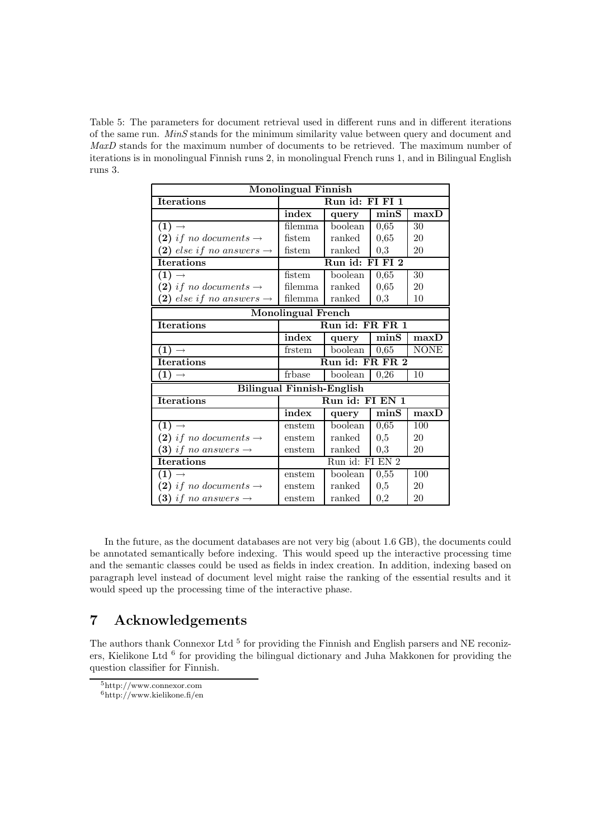Table 5: The parameters for document retrieval used in different runs and in different iterations of the same run. MinS stands for the minimum similarity value between query and document and MaxD stands for the maximum number of documents to be retrieved. The maximum number of iterations is in monolingual Finnish runs 2, in monolingual French runs 1, and in Bilingual English runs 3.

| <b>Monolingual Finnish</b>           |                             |         |          |                         |  |
|--------------------------------------|-----------------------------|---------|----------|-------------------------|--|
| <b>Iterations</b>                    | Run id: FI FI 1             |         |          |                         |  |
|                                      | index                       | query   | minS     | maxD                    |  |
| $(1) \rightarrow$                    | $\overline{\text{filemma}}$ | boolean | 0,65     | 30                      |  |
| (2) if no documents $\rightarrow$    | fistem                      | ranked  | 0,65     | 20                      |  |
| (2) else if no answers $\rightarrow$ | fistem                      | ranked  | 0,3      | 20                      |  |
| <b>Iterations</b>                    | Run id:<br>FI FI 2          |         |          |                         |  |
| $(1) \rightarrow$                    | fistem                      | boolean | 0,65     | $\overline{30}$         |  |
| (2) if no documents $\rightarrow$    | filemma                     | ranked  | 0,65     | 20                      |  |
| (2) else if no answers $\rightarrow$ | filemma                     | ranked  | $_{0,3}$ | 10                      |  |
| <b>Monolingual French</b>            |                             |         |          |                         |  |
| <b>Iterations</b>                    | Run id: FR FR 1             |         |          |                         |  |
|                                      | index                       | query   | minS     | maxD                    |  |
| $(1) \rightarrow$                    | frstem                      | boolean | 0,65     | <b>NONE</b>             |  |
| <b>Iterations</b>                    | Run id: FR FR 2             |         |          |                         |  |
| (1)                                  | frbase                      | boolean | 0,26     | 10                      |  |
| <b>Bilingual Finnish-English</b>     |                             |         |          |                         |  |
| <b>Iterations</b>                    | Run id: FI EN 1             |         |          |                         |  |
|                                      | index                       | query   | minS     | $\overline{\text{max}}$ |  |
| $(1) \rightarrow$                    | enstem                      | boolean | 0,65     | 100                     |  |
| (2) if no documents $\rightarrow$    | enstem                      | ranked  | 0,5      | 20                      |  |
| (3) if no answers $\rightarrow$      | enstem                      | ranked  | 0,3      | 20                      |  |
| <b>Iterations</b>                    | Run id: FI EN 2             |         |          |                         |  |
| $(1) \rightarrow$                    | enstem                      | boolean | 0,55     | 100                     |  |
| (2) if no documents $\rightarrow$    | enstem                      | ranked  | 0,5      | 20                      |  |
| (3) if no answers $\rightarrow$      | enstem                      | ranked  | $_{0,2}$ | 20                      |  |

In the future, as the document databases are not very big (about 1.6 GB), the documents could be annotated semantically before indexing. This would speed up the interactive processing time and the semantic classes could be used as fields in index creation. In addition, indexing based on paragraph level instead of document level might raise the ranking of the essential results and it would speed up the processing time of the interactive phase.

# 7 Acknowledgements

The authors thank Connexor Ltd<sup>5</sup> for providing the Finnish and English parsers and NE reconizers, Kielikone Ltd<sup>6</sup> for providing the bilingual dictionary and Juha Makkonen for providing the question classifier for Finnish.

 $6$ http://www.kielikone.fi/en

<sup>5</sup>http://www.connexor.com